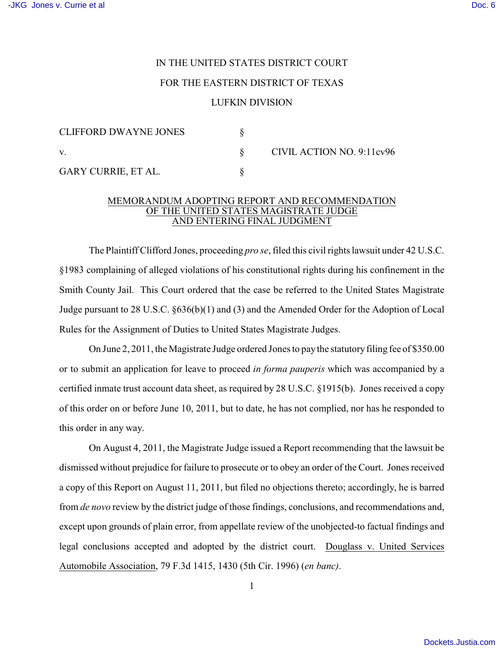## IN THE UNITED STATES DISTRICT COURT FOR THE EASTERN DISTRICT OF TEXAS

## LUFKIN DIVISION

| CLIFFORD DWAYNE JONES |                           |
|-----------------------|---------------------------|
|                       | CIVIL ACTION NO. 9:11cv96 |
| GARY CURRIE, ET AL.   |                           |

## MEMORANDUM ADOPTING REPORT AND RECOMMENDATION OF THE UNITED STATES MAGISTRATE JUDGE AND ENTERING FINAL JUDGMENT

The Plaintiff Clifford Jones, proceeding *pro se*, filed this civil rights lawsuit under 42 U.S.C. §1983 complaining of alleged violations of his constitutional rights during his confinement in the Smith County Jail. This Court ordered that the case be referred to the United States Magistrate Judge pursuant to 28 U.S.C. §636(b)(1) and (3) and the Amended Order for the Adoption of Local Rules for the Assignment of Duties to United States Magistrate Judges.

On June 2, 2011, the Magistrate Judge ordered Jones to pay the statutoryfiling fee of \$350.00 or to submit an application for leave to proceed *in forma pauperis* which was accompanied by a certified inmate trust account data sheet, as required by 28 U.S.C. §1915(b). Jones received a copy of this order on or before June 10, 2011, but to date, he has not complied, nor has he responded to this order in any way.

On August 4, 2011, the Magistrate Judge issued a Report recommending that the lawsuit be dismissed without prejudice for failure to prosecute or to obey an order of the Court. Jones received a copy of this Report on August 11, 2011, but filed no objections thereto; accordingly, he is barred from *de novo* review by the district judge of those findings, conclusions, and recommendations and, except upon grounds of plain error, from appellate review of the unobjected-to factual findings and legal conclusions accepted and adopted by the district court. Douglass v. United Services Automobile Association, 79 F.3d 1415, 1430 (5th Cir. 1996) (*en banc)*.